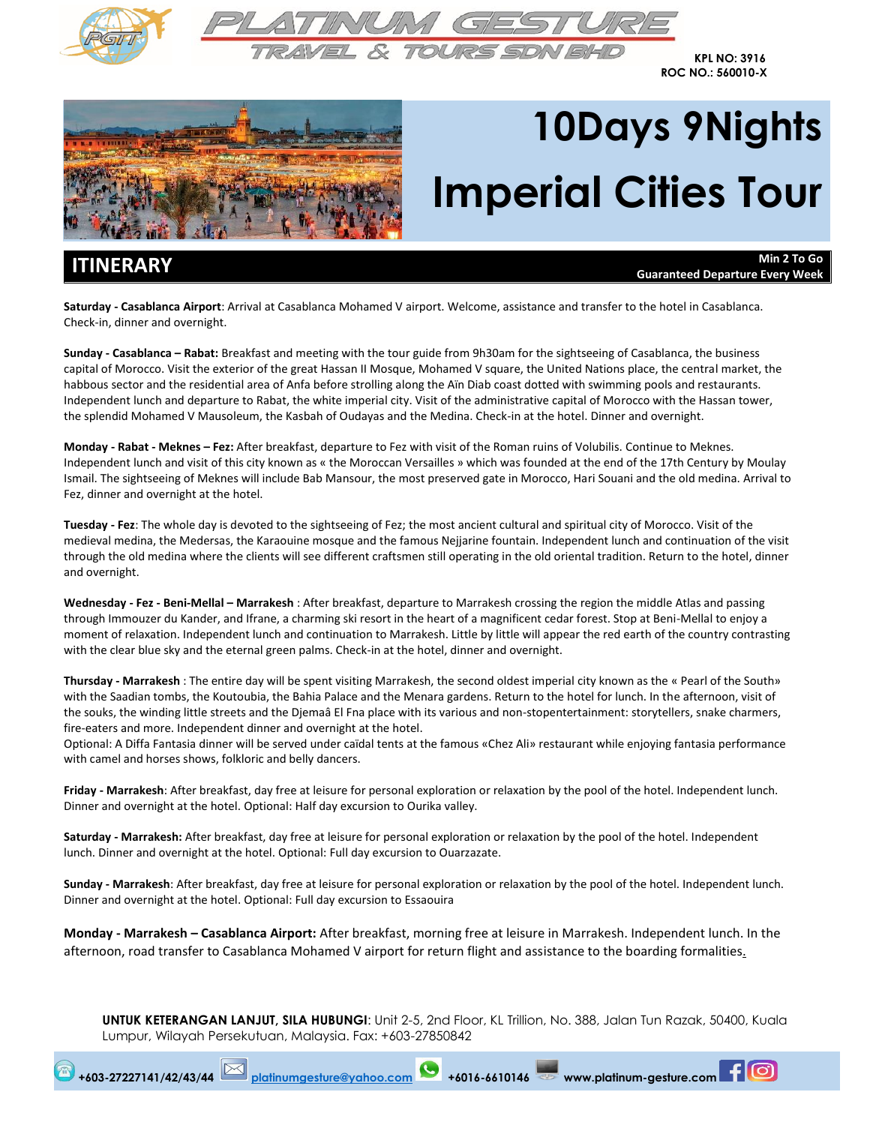



**KPL NO: 3916 ROC NO.: 560010-X**



# **10Days 9Nights Imperial Cities Tour**

**ITINERARY Min 2 To Go Guaranteed Departure Every Week**

**Saturday ‐ Casablanca Airport**: Arrival at Casablanca Mohamed V airport. Welcome, assistance and transfer to the hotel in Casablanca. Check‐in, dinner and overnight.

**Sunday ‐ Casablanca – Rabat:** Breakfast and meeting with the tour guide from 9h30am for the sightseeing of Casablanca, the business capital of Morocco. Visit the exterior of the great Hassan II Mosque, Mohamed V square, the United Nations place, the central market, the habbous sector and the residential area of Anfa before strolling along the Aïn Diab coast dotted with swimming pools and restaurants. Independent lunch and departure to Rabat, the white imperial city. Visit of the administrative capital of Morocco with the Hassan tower, the splendid Mohamed V Mausoleum, the Kasbah of Oudayas and the Medina. Check-in at the hotel. Dinner and overnight.

**Monday ‐ Rabat ‐ Meknes – Fez:** After breakfast, departure to Fez with visit of the Roman ruins of Volubilis. Continue to Meknes. Independent lunch and visit of this city known as « the Moroccan Versailles » which was founded at the end of the 17th Century by Moulay Ismail. The sightseeing of Meknes will include Bab Mansour, the most preserved gate in Morocco, Hari Souani and the old medina. Arrival to Fez, dinner and overnight at the hotel.

**Tuesday ‐ Fez**: The whole day is devoted to the sightseeing of Fez; the most ancient cultural and spiritual city of Morocco. Visit of the medieval medina, the Medersas, the Karaouine mosque and the famous Nejjarine fountain. Independent lunch and continuation of the visit through the old medina where the clients will see different craftsmen still operating in the old oriental tradition. Return to the hotel, dinner and overnight.

**Wednesday ‐ Fez ‐ Beni‐Mellal – Marrakesh** : After breakfast, departure to Marrakesh crossing the region the middle Atlas and passing through Immouzer du Kander, and Ifrane, a charming ski resort in the heart of a magnificent cedar forest. Stop at Beni‐Mellal to enjoy a moment of relaxation. Independent lunch and continuation to Marrakesh. Little by little will appear the red earth of the country contrasting with the clear blue sky and the eternal green palms. Check-in at the hotel, dinner and overnight.

**Thursday ‐ Marrakesh** : The entire day will be spent visiting Marrakesh, the second oldest imperial city known as the « Pearl of the South» with the Saadian tombs, the Koutoubia, the Bahia Palace and the Menara gardens. Return to the hotel for lunch. In the afternoon, visit of the souks, the winding little streets and the Djemaâ El Fna place with its various and non‐stopentertainment: storytellers, snake charmers, fire-eaters and more. Independent dinner and overnight at the hotel.

Optional: A Diffa Fantasia dinner will be served under caïdal tents at the famous «Chez Ali» restaurant while enjoying fantasia performance with camel and horses shows, folkloric and belly dancers.

**Friday ‐ Marrakesh**: After breakfast, day free at leisure for personal exploration or relaxation by the pool of the hotel. Independent lunch. Dinner and overnight at the hotel. Optional: Half day excursion to Ourika valley.

**Saturday ‐ Marrakesh:** After breakfast, day free at leisure for personal exploration or relaxation by the pool of the hotel. Independent lunch. Dinner and overnight at the hotel. Optional: Full day excursion to Ouarzazate.

**Sunday ‐ Marrakesh**: After breakfast, day free at leisure for personal exploration or relaxation by the pool of the hotel. Independent lunch. Dinner and overnight at the hotel. Optional: Full day excursion to Essaouira

**Monday ‐ Marrakesh – Casablanca Airport:** After breakfast, morning free at leisure in Marrakesh. Independent lunch. In the afternoon, road transfer to Casablanca Mohamed V airport for return flight and assistance to the boarding formalities.

**UNTUK KETERANGAN LANJUT, SILA HUBUNGI**: Unit 2-5, 2nd Floor, KL Trillion, No. 388, Jalan Tun Razak, 50400, Kuala Lumpur, Wilayah Persekutuan, Malaysia. Fax: +603-27850842